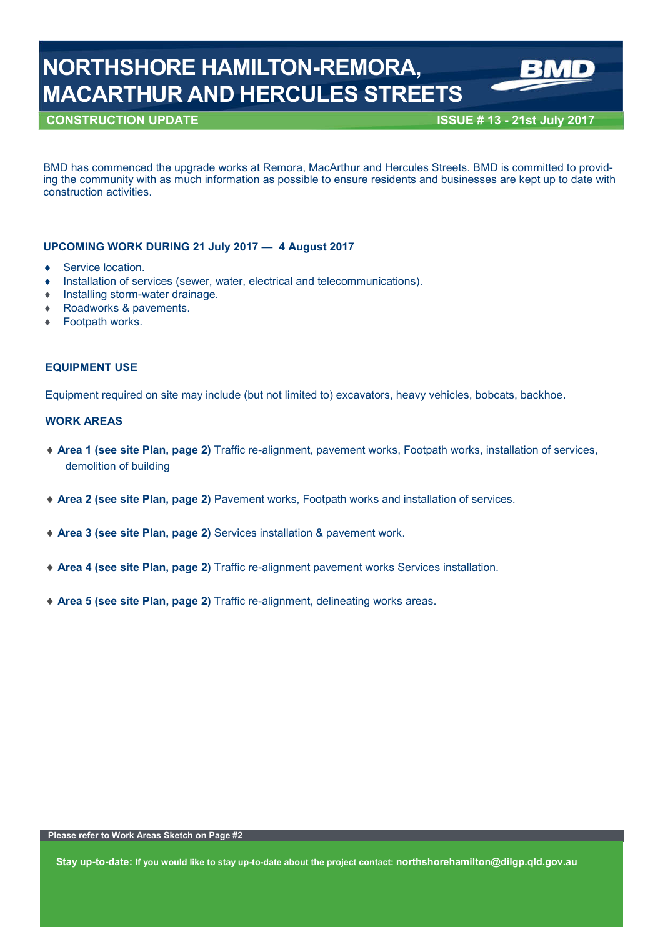# **NORTHSHORE HAMILTON-REMORA, MACARTHUR AND HERCULES STREETS**

## **CONSTRUCTION UPDATE ISSUE # 13 - 21st July 2017**

BMD has commenced the upgrade works at Remora, MacArthur and Hercules Streets. BMD is committed to providing the community with as much information as possible to ensure residents and businesses are kept up to date with construction activities.

### **UPCOMING WORK DURING 21 July 2017 — 4 August 2017**

- ◆ Service location.
- Installation of services (sewer, water, electrical and telecommunications).
- Installing storm-water drainage.
- Roadworks & pavements.
- Footpath works.

#### **EQUIPMENT USE**

Equipment required on site may include (but not limited to) excavators, heavy vehicles, bobcats, backhoe.

#### **WORK AREAS**

- **Area 1 (see site Plan, page 2)** Traffic re-alignment, pavement works, Footpath works, installation of services, demolition of building
- **Area 2 (see site Plan, page 2)** Pavement works, Footpath works and installation of services.
- **Area 3 (see site Plan, page 2)** Services installation & pavement work.
- **Area 4 (see site Plan, page 2)** Traffic re-alignment pavement works Services installation.
- **Area 5 (see site Plan, page 2)** Traffic re-alignment, delineating works areas.

**Stay up-to-date: If you would like to stay up-to-date about the project contact: northshorehamilton@dilgp.qld.gov.au**